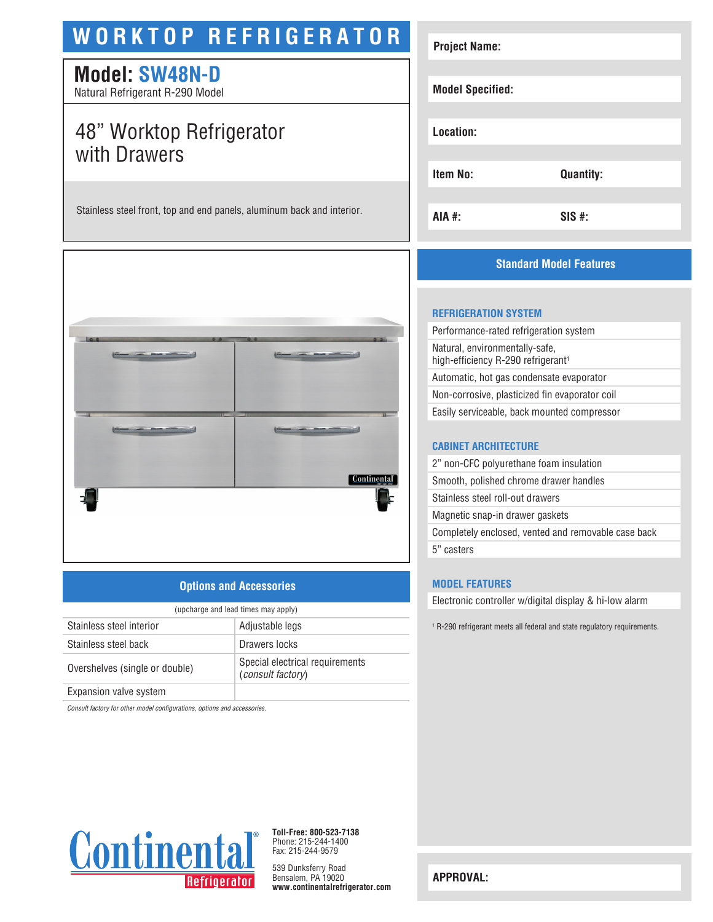# **WORKTOP REFRIGERATOR**

# **Model: SW48N-D**

Natural Refrigerant R-290 Model

# 48" Worktop Refrigerator with Drawers

Stainless steel front, top and end panels, aluminum back and interior.



## **Options and Accessories**

| (upcharge and lead times may apply) |                                                             |  |
|-------------------------------------|-------------------------------------------------------------|--|
| Stainless steel interior            | Adjustable legs                                             |  |
| Stainless steel back                | Drawers locks                                               |  |
| Overshelves (single or double)      | Special electrical requirements<br><i>(consult factory)</i> |  |
| Expansion valve system              |                                                             |  |

*Consult factory for other model configurations, options and accessories.*



## **Standard Model Features**

#### **REFRIGERATION SYSTEM**

| Performance-rated refrigeration system                                           |  |
|----------------------------------------------------------------------------------|--|
| Natural, environmentally-safe,<br>high-efficiency R-290 refrigerant <sup>1</sup> |  |
| Automatic, hot gas condensate evaporator                                         |  |
| Non-corrosive, plasticized fin evaporator coil                                   |  |
| Easily serviceable, back mounted compressor                                      |  |
|                                                                                  |  |

#### **CABINET ARCHITECTURE**

| 2" non-CFC polyurethane foam insulation             |  |
|-----------------------------------------------------|--|
| Smooth, polished chrome drawer handles              |  |
| Stainless steel roll-out drawers                    |  |
| Magnetic snap-in drawer gaskets                     |  |
| Completely enclosed, vented and removable case back |  |
| 5" casters                                          |  |

#### **MODEL FEATURES**

Electronic controller w/digital display & hi-low alarm

1 R-290 refrigerant meets all federal and state regulatory requirements.



**Toll-Free: 800-523-7138** Phone: 215-244-1400 Fax: 215-244-9579

539 Dunksferry Road Bensalem, PA 19020 **www.continentalrefrigerator.com** 

**APPROVAL:**